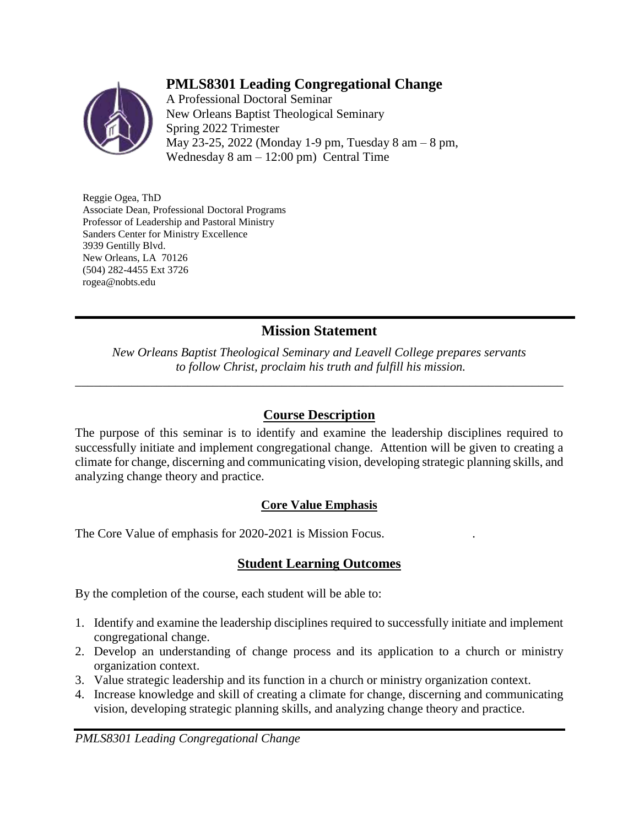# **PMLS8301 Leading Congregational Change**



A Professional Doctoral Seminar New Orleans Baptist Theological Seminary Spring 2022 Trimester May 23-25, 2022 (Monday 1-9 pm, Tuesday 8 am – 8 pm, Wednesday  $8 \text{ am} - 12:00 \text{ pm}$ ) Central Time

Reggie Ogea, ThD Associate Dean, Professional Doctoral Programs Professor of Leadership and Pastoral Ministry Sanders Center for Ministry Excellence 3939 Gentilly Blvd. New Orleans, LA 70126 (504) 282-4455 Ext 3726 rogea@nobts.edu

# **Mission Statement**

*New Orleans Baptist Theological Seminary and Leavell College prepares servants to follow Christ, proclaim his truth and fulfill his mission.*

*\_\_\_\_\_\_\_\_\_\_\_\_\_\_\_\_\_\_\_\_\_\_\_\_\_\_\_\_\_\_\_\_\_\_\_\_\_\_\_\_\_\_\_\_\_\_\_\_\_\_\_\_\_\_\_\_\_\_\_\_\_\_\_\_\_\_\_\_\_\_\_\_\_\_\_\_\_\_*

# **Course Description**

The purpose of this seminar is to identify and examine the leadership disciplines required to successfully initiate and implement congregational change. Attention will be given to creating a climate for change, discerning and communicating vision, developing strategic planning skills, and analyzing change theory and practice.

## **Core Value Emphasis**

The Core Value of emphasis for 2020-2021 is Mission Focus. .

# **Student Learning Outcomes**

By the completion of the course, each student will be able to:

- 1. Identify and examine the leadership disciplines required to successfully initiate and implement congregational change.
- 2. Develop an understanding of change process and its application to a church or ministry organization context.
- 3. Value strategic leadership and its function in a church or ministry organization context.
- 4. Increase knowledge and skill of creating a climate for change, discerning and communicating vision, developing strategic planning skills, and analyzing change theory and practice.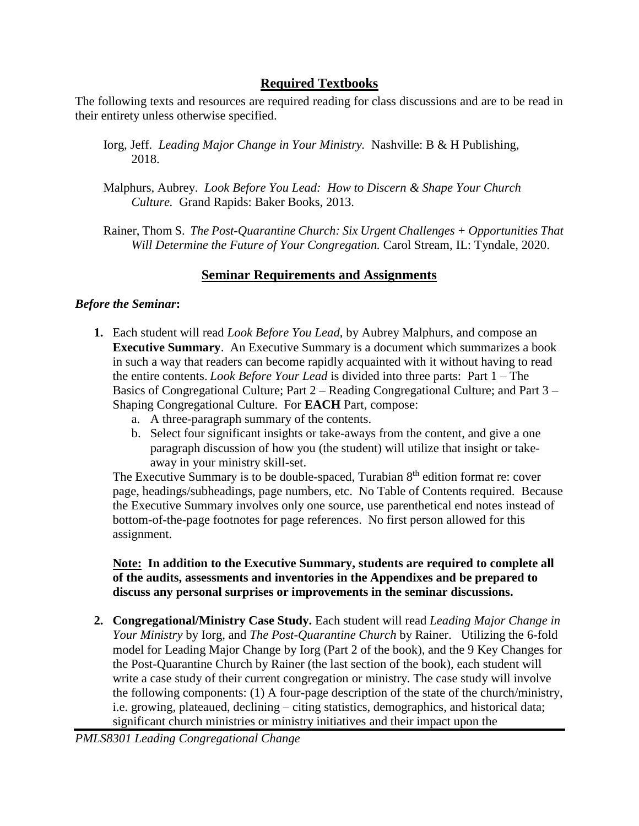## **Required Textbooks**

The following texts and resources are required reading for class discussions and are to be read in their entirety unless otherwise specified.

- Iorg, Jeff. *Leading Major Change in Your Ministry.* Nashville: B & H Publishing, 2018.
- Malphurs, Aubrey. *Look Before You Lead: How to Discern & Shape Your Church Culture.* Grand Rapids: Baker Books, 2013.
- Rainer, Thom S. *The Post-Quarantine Church: Six Urgent Challenges + Opportunities That Will Determine the Future of Your Congregation.* Carol Stream, IL: Tyndale, 2020.

### **Seminar Requirements and Assignments**

#### *Before the Seminar***:**

- **1.** Each student will read *Look Before You Lead*, by Aubrey Malphurs, and compose an **Executive Summary**. An Executive Summary is a document which summarizes a book in such a way that readers can become rapidly acquainted with it without having to read the entire contents. *Look Before Your Lead* is divided into three parts: Part 1 – The Basics of Congregational Culture; Part 2 – Reading Congregational Culture; and Part 3 – Shaping Congregational Culture. For **EACH** Part, compose:
	- a. A three-paragraph summary of the contents.
	- b. Select four significant insights or take-aways from the content, and give a one paragraph discussion of how you (the student) will utilize that insight or takeaway in your ministry skill-set.

The Executive Summary is to be double-spaced, Turabian  $8<sup>th</sup>$  edition format re: cover page, headings/subheadings, page numbers, etc. No Table of Contents required. Because the Executive Summary involves only one source, use parenthetical end notes instead of bottom-of-the-page footnotes for page references. No first person allowed for this assignment.

#### **Note: In addition to the Executive Summary, students are required to complete all of the audits, assessments and inventories in the Appendixes and be prepared to discuss any personal surprises or improvements in the seminar discussions.**

**2. Congregational/Ministry Case Study.** Each student will read *Leading Major Change in Your Ministry* by Iorg, and *The Post-Quarantine Church* by Rainer. Utilizing the 6-fold model for Leading Major Change by Iorg (Part 2 of the book), and the 9 Key Changes for the Post-Quarantine Church by Rainer (the last section of the book), each student will write a case study of their current congregation or ministry. The case study will involve the following components: (1) A four-page description of the state of the church/ministry, i.e. growing, plateaued, declining – citing statistics, demographics, and historical data; significant church ministries or ministry initiatives and their impact upon the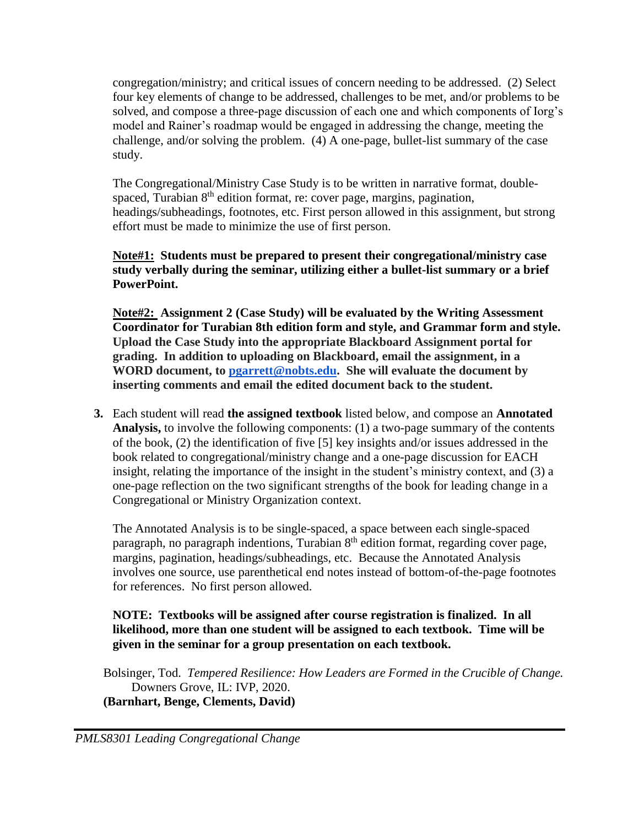congregation/ministry; and critical issues of concern needing to be addressed. (2) Select four key elements of change to be addressed, challenges to be met, and/or problems to be solved, and compose a three-page discussion of each one and which components of Iorg's model and Rainer's roadmap would be engaged in addressing the change, meeting the challenge, and/or solving the problem. (4) A one-page, bullet-list summary of the case study.

The Congregational/Ministry Case Study is to be written in narrative format, doublespaced, Turabian 8<sup>th</sup> edition format, re: cover page, margins, pagination, headings/subheadings, footnotes, etc. First person allowed in this assignment, but strong effort must be made to minimize the use of first person.

### **Note#1: Students must be prepared to present their congregational/ministry case study verbally during the seminar, utilizing either a bullet-list summary or a brief PowerPoint.**

**Note#2: Assignment 2 (Case Study) will be evaluated by the Writing Assessment Coordinator for Turabian 8th edition form and style, and Grammar form and style. Upload the Case Study into the appropriate Blackboard Assignment portal for grading. In addition to uploading on Blackboard, email the assignment, in a WORD document, to [pgarrett@nobts.edu.](mailto:pgarrett@nobts.edu) She will evaluate the document by inserting comments and email the edited document back to the student.**

**3.** Each student will read **the assigned textbook** listed below, and compose an **Annotated Analysis,** to involve the following components: (1) a two-page summary of the contents of the book, (2) the identification of five [5] key insights and/or issues addressed in the book related to congregational/ministry change and a one-page discussion for EACH insight, relating the importance of the insight in the student's ministry context, and (3) a one-page reflection on the two significant strengths of the book for leading change in a Congregational or Ministry Organization context.

The Annotated Analysis is to be single-spaced, a space between each single-spaced paragraph, no paragraph indentions, Turabian  $8<sup>th</sup>$  edition format, regarding cover page, margins, pagination, headings/subheadings, etc. Because the Annotated Analysis involves one source, use parenthetical end notes instead of bottom-of-the-page footnotes for references. No first person allowed.

### **NOTE: Textbooks will be assigned after course registration is finalized. In all likelihood, more than one student will be assigned to each textbook. Time will be given in the seminar for a group presentation on each textbook.**

Bolsinger, Tod. *Tempered Resilience: How Leaders are Formed in the Crucible of Change.* Downers Grove, IL: IVP, 2020. **(Barnhart, Benge, Clements, David)**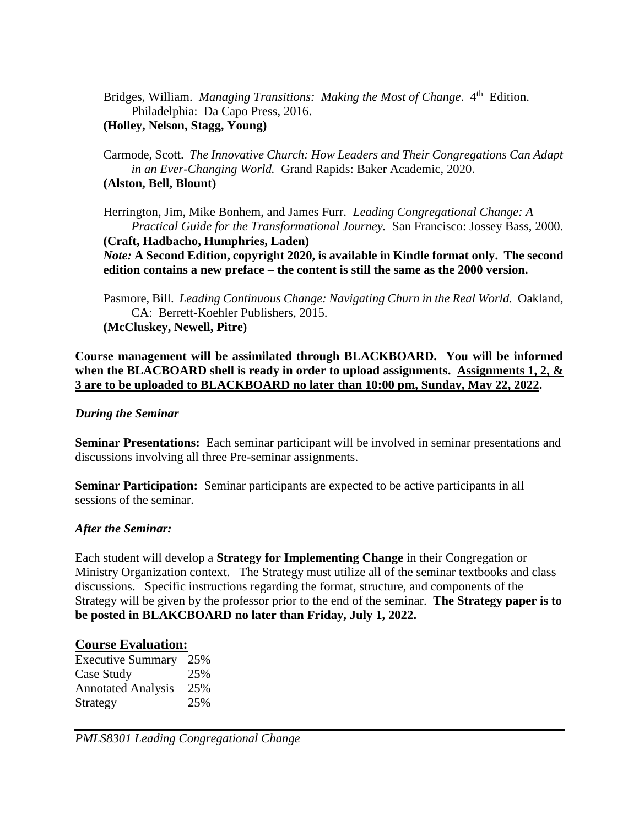Bridges, William. *Managing Transitions: Making the Most of Change*. 4<sup>th</sup> Edition. Philadelphia: Da Capo Press, 2016.

**(Holley, Nelson, Stagg, Young)**

Carmode, Scott. *The Innovative Church: How Leaders and Their Congregations Can Adapt in an Ever-Changing World.* Grand Rapids: Baker Academic, 2020. **(Alston, Bell, Blount)**

Herrington, Jim, Mike Bonhem, and James Furr. *Leading Congregational Change: A Practical Guide for the Transformational Journey.* San Francisco: Jossey Bass, 2000. **(Craft, Hadbacho, Humphries, Laden)** *Note:* **A Second Edition, copyright 2020, is available in Kindle format only. The second edition contains a new preface – the content is still the same as the 2000 version.**

Pasmore, Bill. *Leading Continuous Change: Navigating Churn in the Real World.* Oakland, CA: Berrett-Koehler Publishers, 2015.

**(McCluskey, Newell, Pitre)**

**Course management will be assimilated through BLACKBOARD. You will be informed when the BLACBOARD shell is ready in order to upload assignments. Assignments 1, 2, & 3 are to be uploaded to BLACKBOARD no later than 10:00 pm, Sunday, May 22, 2022.**

#### *During the Seminar*

**Seminar Presentations:** Each seminar participant will be involved in seminar presentations and discussions involving all three Pre-seminar assignments.

**Seminar Participation:** Seminar participants are expected to be active participants in all sessions of the seminar.

#### *After the Seminar:*

Each student will develop a **Strategy for Implementing Change** in their Congregation or Ministry Organization context. The Strategy must utilize all of the seminar textbooks and class discussions. Specific instructions regarding the format, structure, and components of the Strategy will be given by the professor prior to the end of the seminar. **The Strategy paper is to be posted in BLAKCBOARD no later than Friday, July 1, 2022.**

#### **Course Evaluation:**

Executive Summary 25% Case Study 25% Annotated Analysis 25% Strategy 25%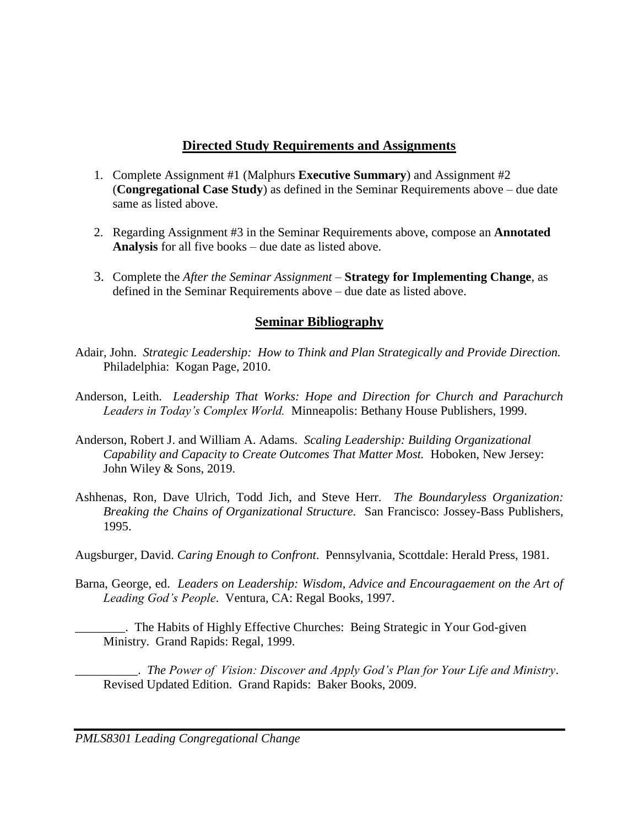## **Directed Study Requirements and Assignments**

- 1. Complete Assignment #1 (Malphurs **Executive Summary**) and Assignment #2 (**Congregational Case Study**) as defined in the Seminar Requirements above – due date same as listed above.
- 2. Regarding Assignment #3 in the Seminar Requirements above, compose an **Annotated Analysis** for all five books – due date as listed above.
- 3. Complete the *After the Seminar Assignment* **Strategy for Implementing Change**, as defined in the Seminar Requirements above – due date as listed above.

# **Seminar Bibliography**

- Adair, John. *Strategic Leadership: How to Think and Plan Strategically and Provide Direction.* Philadelphia: Kogan Page, 2010.
- Anderson, Leith. *Leadership That Works: Hope and Direction for Church and Parachurch Leaders in Today's Complex World.* Minneapolis: Bethany House Publishers, 1999.
- Anderson, Robert J. and William A. Adams. *Scaling Leadership: Building Organizational Capability and Capacity to Create Outcomes That Matter Most.* Hoboken, New Jersey: John Wiley & Sons, 2019.
- Ashhenas, Ron, Dave Ulrich, Todd Jich, and Steve Herr. *The Boundaryless Organization: Breaking the Chains of Organizational Structure.* San Francisco: Jossey-Bass Publishers, 1995.

Augsburger, David. *Caring Enough to Confront*. Pennsylvania, Scottdale: Herald Press, 1981.

- Barna, George, ed. *Leaders on Leadership: Wisdom, Advice and Encouragaement on the Art of Leading God's People*. Ventura, CA: Regal Books, 1997.
	- \_\_\_\_\_\_\_\_. The Habits of Highly Effective Churches: Being Strategic in Your God-given Ministry. Grand Rapids: Regal, 1999.

\_\_\_\_\_\_\_\_\_\_. *The Power of Vision: Discover and Apply God's Plan for Your Life and Ministry*. Revised Updated Edition. Grand Rapids: Baker Books, 2009.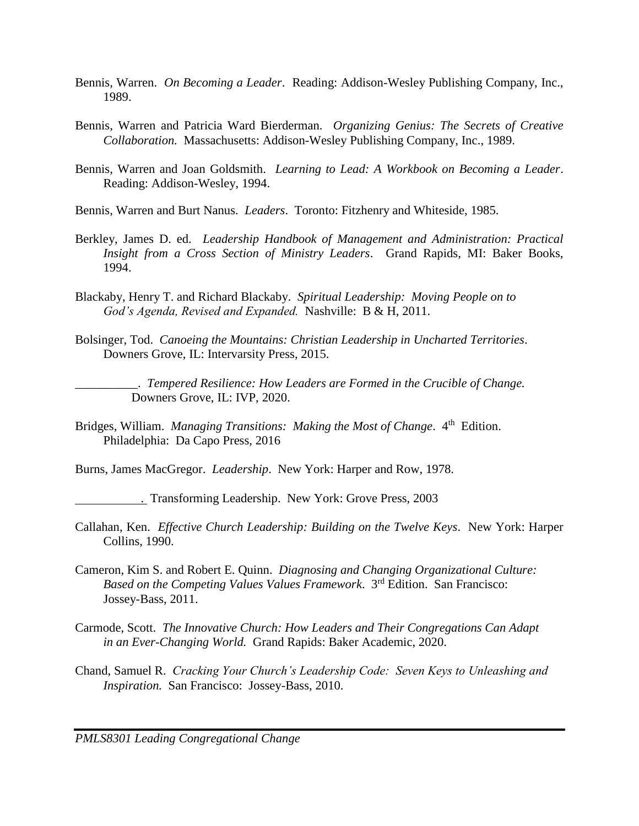- Bennis, Warren. *On Becoming a Leader*. Reading: Addison-Wesley Publishing Company, Inc., 1989.
- Bennis, Warren and Patricia Ward Bierderman. *Organizing Genius: The Secrets of Creative Collaboration.* Massachusetts: Addison-Wesley Publishing Company, Inc., 1989.
- Bennis, Warren and Joan Goldsmith. *Learning to Lead: A Workbook on Becoming a Leader*. Reading: Addison-Wesley, 1994.
- Bennis, Warren and Burt Nanus. *Leaders*. Toronto: Fitzhenry and Whiteside, 1985.
- Berkley, James D. ed. *Leadership Handbook of Management and Administration: Practical Insight from a Cross Section of Ministry Leaders*. Grand Rapids, MI: Baker Books, 1994.
- Blackaby, Henry T. and Richard Blackaby. *Spiritual Leadership: Moving People on to God's Agenda, Revised and Expanded.* Nashville: B & H, 2011.
- Bolsinger, Tod. *Canoeing the Mountains: Christian Leadership in Uncharted Territories*. Downers Grove, IL: Intervarsity Press, 2015.

\_\_\_\_\_\_\_\_\_\_. *Tempered Resilience: How Leaders are Formed in the Crucible of Change.* Downers Grove, IL: IVP, 2020.

Bridges, William. *Managing Transitions: Making the Most of Change*. 4<sup>th</sup> Edition. Philadelphia: Da Capo Press, 2016

Burns, James MacGregor. *Leadership*. New York: Harper and Row, 1978.

- . Transforming Leadership. New York: Grove Press, 2003
- Callahan, Ken. *Effective Church Leadership: Building on the Twelve Keys*. New York: Harper Collins, 1990.
- Cameron, Kim S. and Robert E. Quinn. *Diagnosing and Changing Organizational Culture: Based on the Competing Values Values Framework*. 3rd Edition. San Francisco: Jossey-Bass, 2011.
- Carmode, Scott. *The Innovative Church: How Leaders and Their Congregations Can Adapt in an Ever-Changing World.* Grand Rapids: Baker Academic, 2020.
- Chand, Samuel R. *Cracking Your Church's Leadership Code: Seven Keys to Unleashing and Inspiration.* San Francisco: Jossey-Bass, 2010.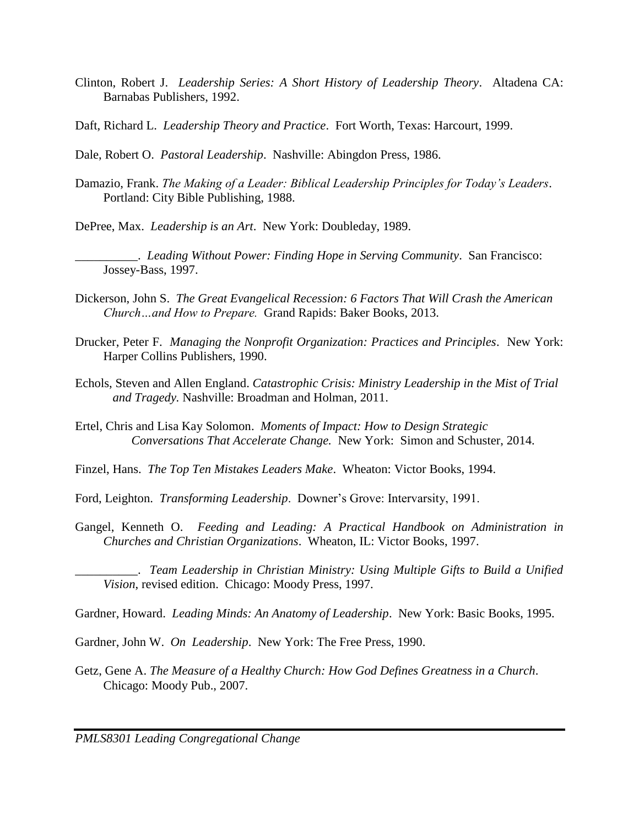- Clinton, Robert J. *Leadership Series: A Short History of Leadership Theory*. Altadena CA: Barnabas Publishers, 1992.
- Daft, Richard L. *Leadership Theory and Practice*. Fort Worth, Texas: Harcourt, 1999.
- Dale, Robert O. *Pastoral Leadership*. Nashville: Abingdon Press, 1986.
- Damazio, Frank. *The Making of a Leader: Biblical Leadership Principles for Today's Leaders*. Portland: City Bible Publishing, 1988.

DePree, Max. *Leadership is an Art*. New York: Doubleday, 1989.

\_\_\_\_\_\_\_\_\_\_. *Leading Without Power: Finding Hope in Serving Community*. San Francisco: Jossey-Bass, 1997.

- Dickerson, John S. *The Great Evangelical Recession: 6 Factors That Will Crash the American Church…and How to Prepare.* Grand Rapids: Baker Books, 2013.
- Drucker, Peter F. *Managing the Nonprofit Organization: Practices and Principles*. New York: Harper Collins Publishers, 1990.
- Echols, Steven and Allen England. *Catastrophic Crisis: Ministry Leadership in the Mist of Trial and Tragedy.* Nashville: Broadman and Holman, 2011.
- Ertel, Chris and Lisa Kay Solomon. *Moments of Impact: How to Design Strategic Conversations That Accelerate Change.* New York: Simon and Schuster, 2014.
- Finzel, Hans. *The Top Ten Mistakes Leaders Make*. Wheaton: Victor Books, 1994.

Ford, Leighton. *Transforming Leadership*. Downer's Grove: Intervarsity, 1991.

Gangel, Kenneth O. *Feeding and Leading: A Practical Handbook on Administration in Churches and Christian Organizations*. Wheaton, IL: Victor Books, 1997.

\_\_\_\_\_\_\_\_\_\_. *Team Leadership in Christian Ministry: Using Multiple Gifts to Build a Unified Vision*, revised edition. Chicago: Moody Press, 1997.

Gardner, Howard. *Leading Minds: An Anatomy of Leadership*. New York: Basic Books, 1995.

Gardner, John W. *On Leadership*. New York: The Free Press, 1990.

Getz, Gene A. *The Measure of a Healthy Church: How God Defines Greatness in a Church*. Chicago: Moody Pub., 2007.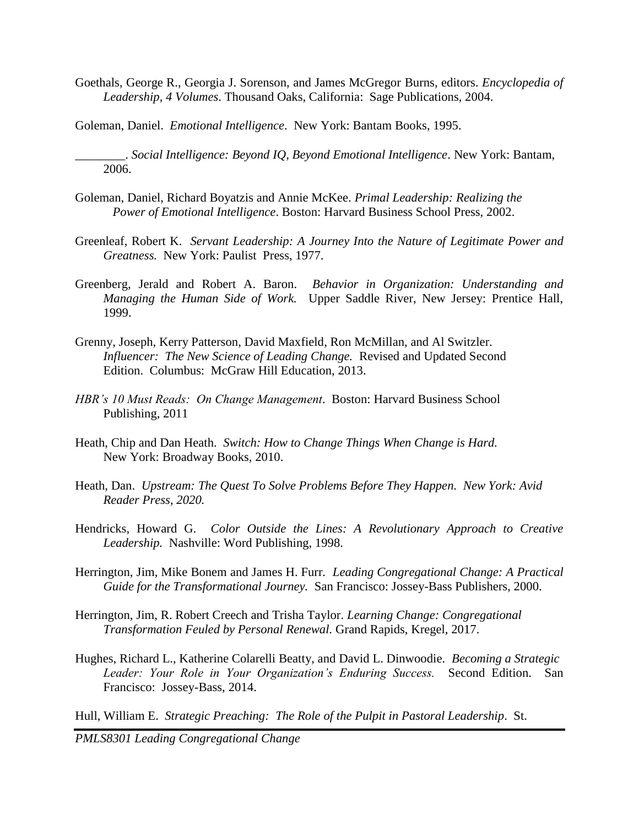Goethals, George R., Georgia J. Sorenson, and James McGregor Burns, editors. *Encyclopedia of Leadership, 4 Volumes*. Thousand Oaks, California: Sage Publications, 2004.

Goleman, Daniel. *Emotional Intelligence*. New York: Bantam Books, 1995.

\_\_\_\_\_\_\_\_. *Social Intelligence: Beyond IQ, Beyond Emotional Intelligence*. New York: Bantam, 2006.

- Goleman, Daniel, Richard Boyatzis and Annie McKee. *Primal Leadership: Realizing the Power of Emotional Intelligence*. Boston: Harvard Business School Press, 2002.
- Greenleaf, Robert K. *Servant Leadership: A Journey Into the Nature of Legitimate Power and Greatness.* New York: Paulist Press, 1977.
- Greenberg, Jerald and Robert A. Baron. *Behavior in Organization: Understanding and Managing the Human Side of Work.* Upper Saddle River, New Jersey: Prentice Hall, 1999.
- Grenny, Joseph, Kerry Patterson, David Maxfield, Ron McMillan, and Al Switzler. *Influencer: The New Science of Leading Change.* Revised and Updated Second Edition. Columbus: McGraw Hill Education, 2013.
- *HBR's 10 Must Reads: On Change Management*. Boston: Harvard Business School Publishing, 2011
- Heath, Chip and Dan Heath. *Switch: How to Change Things When Change is Hard.* New York: Broadway Books, 2010.
- Heath, Dan. *Upstream: The Quest To Solve Problems Before They Happen. New York: Avid Reader Press, 2020.*
- Hendricks, Howard G. *Color Outside the Lines: A Revolutionary Approach to Creative Leadership.* Nashville: Word Publishing, 1998.
- Herrington, Jim, Mike Bonem and James H. Furr. *Leading Congregational Change: A Practical Guide for the Transformational Journey.* San Francisco: Jossey-Bass Publishers, 2000.
- Herrington, Jim, R. Robert Creech and Trisha Taylor. *Learning Change: Congregational Transformation Feuled by Personal Renewal.* Grand Rapids, Kregel, 2017.
- Hughes, Richard L., Katherine Colarelli Beatty, and David L. Dinwoodie. *Becoming a Strategic Leader: Your Role in Your Organization's Enduring Success.* Second Edition. San Francisco: Jossey-Bass, 2014.

Hull, William E. *Strategic Preaching: The Role of the Pulpit in Pastoral Leadership*. St.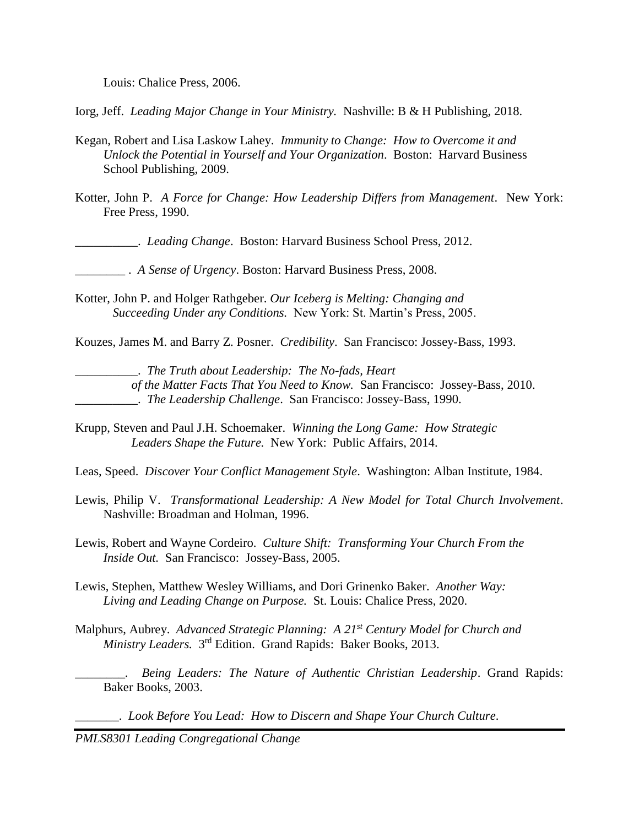Louis: Chalice Press, 2006.

Iorg, Jeff. *Leading Major Change in Your Ministry.* Nashville: B & H Publishing, 2018.

- Kegan, Robert and Lisa Laskow Lahey. *Immunity to Change: How to Overcome it and Unlock the Potential in Yourself and Your Organization*. Boston: Harvard Business School Publishing, 2009.
- Kotter, John P. *A Force for Change: How Leadership Differs from Management*. New York: Free Press, 1990.

\_\_\_\_\_\_\_\_\_\_. *Leading Change*. Boston: Harvard Business School Press, 2012.

\_\_\_\_\_\_\_\_ . *A Sense of Urgency*. Boston: Harvard Business Press, 2008.

Kotter, John P. and Holger Rathgeber. *Our Iceberg is Melting: Changing and Succeeding Under any Conditions.* New York: St. Martin's Press, 2005.

Kouzes, James M. and Barry Z. Posner. *Credibility*. San Francisco: Jossey-Bass, 1993.

\_\_\_\_\_\_\_\_\_\_. *The Truth about Leadership: The No-fads, Heart* 

*of the Matter Facts That You Need to Know.* San Francisco: Jossey-Bass, 2010. \_\_\_\_\_\_\_\_\_\_. *The Leadership Challenge*. San Francisco: Jossey-Bass, 1990.

Krupp, Steven and Paul J.H. Schoemaker. *Winning the Long Game: How Strategic Leaders Shape the Future.* New York: Public Affairs, 2014.

Leas, Speed. *Discover Your Conflict Management Style*. Washington: Alban Institute, 1984.

- Lewis, Philip V. *Transformational Leadership: A New Model for Total Church Involvement*. Nashville: Broadman and Holman, 1996.
- Lewis, Robert and Wayne Cordeiro. *Culture Shift: Transforming Your Church From the Inside Out.* San Francisco: Jossey-Bass, 2005.
- Lewis, Stephen, Matthew Wesley Williams, and Dori Grinenko Baker. *Another Way: Living and Leading Change on Purpose.* St. Louis: Chalice Press, 2020.
- Malphurs, Aubrey. *Advanced Strategic Planning: A 21st Century Model for Church and*  Ministry Leaders. 3<sup>rd</sup> Edition. Grand Rapids: Baker Books, 2013.
	- *\_\_\_\_\_\_\_\_. Being Leaders: The Nature of Authentic Christian Leadership*. Grand Rapids: Baker Books, 2003.

\_\_\_\_\_\_\_. *Look Before You Lead: How to Discern and Shape Your Church Culture*.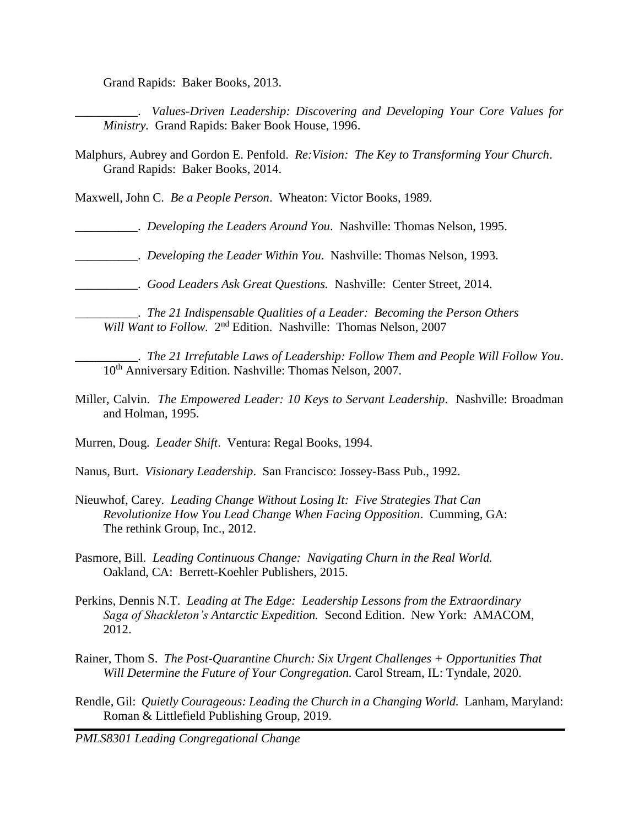Grand Rapids: Baker Books, 2013.

\_\_\_\_\_\_\_\_\_\_. *Values-Driven Leadership: Discovering and Developing Your Core Values for Ministry.* Grand Rapids: Baker Book House, 1996.

Malphurs, Aubrey and Gordon E. Penfold. *Re:Vision: The Key to Transforming Your Church*. Grand Rapids: Baker Books, 2014.

Maxwell, John C. *Be a People Person*. Wheaton: Victor Books, 1989.

\_\_\_\_\_\_\_\_\_\_. *Developing the Leaders Around You*. Nashville: Thomas Nelson, 1995.

\_\_\_\_\_\_\_\_\_\_. *Developing the Leader Within You*. Nashville: Thomas Nelson, 1993.

\_\_\_\_\_\_\_\_\_\_. *Good Leaders Ask Great Questions.* Nashville: Center Street, 2014.

\_\_\_\_\_\_\_\_\_\_. *The 21 Indispensable Qualities of a Leader: Becoming the Person Others* Will Want to Follow. 2<sup>nd</sup> Edition. Nashville: Thomas Nelson, 2007

\_\_\_\_\_\_\_\_\_\_. *The 21 Irrefutable Laws of Leadership: Follow Them and People Will Follow You*. 10th Anniversary Edition. Nashville: Thomas Nelson, 2007.

Miller, Calvin. *The Empowered Leader: 10 Keys to Servant Leadership*. Nashville: Broadman and Holman, 1995.

Murren, Doug. *Leader Shift*. Ventura: Regal Books, 1994.

- Nanus, Burt. *Visionary Leadership*. San Francisco: Jossey-Bass Pub., 1992.
- Nieuwhof, Carey. *Leading Change Without Losing It: Five Strategies That Can Revolutionize How You Lead Change When Facing Opposition*. Cumming, GA: The rethink Group, Inc., 2012.
- Pasmore, Bill. *Leading Continuous Change: Navigating Churn in the Real World.* Oakland, CA: Berrett-Koehler Publishers, 2015.
- Perkins, Dennis N.T. *Leading at The Edge: Leadership Lessons from the Extraordinary Saga of Shackleton's Antarctic Expedition.* Second Edition. New York: AMACOM, 2012.
- Rainer, Thom S. *The Post-Quarantine Church: Six Urgent Challenges + Opportunities That Will Determine the Future of Your Congregation.* Carol Stream, IL: Tyndale, 2020.
- Rendle, Gil: *Quietly Courageous: Leading the Church in a Changing World.* Lanham, Maryland: Roman & Littlefield Publishing Group, 2019.